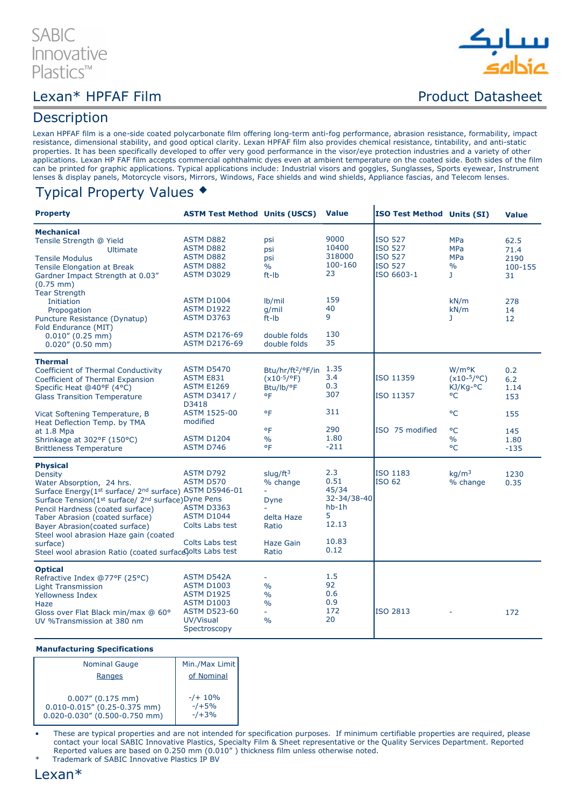## **SABI** Innovative Plastics™

# سانك

## Lexan\* HPFAF Film example and the product Datasheet

## **Description**

Lexan HPFAF film is a one-side coated polycarbonate film offering long-term anti-fog performance, abrasion resistance, formability, impact resistance, dimensional stability, and good optical clarity. Lexan HPFAF film also provides chemical resistance, tintability, and anti-static properties. It has been specifically developed to offer very good performance in the visor/eye protection industries and a variety of other applications. Lexan HP FAF film accepts commercial ophthalmic dyes even at ambient temperature on the coated side. Both sides of the film can be printed for graphic applications. Typical applications include: Industrial visors and goggles, Sunglasses, Sports eyewear, Instrument lenses & display panels, Motorcycle visors, Mirrors, Windows, Face shields and wind shields, Appliance fascias, and Telecom lenses.

 $\mathbf{r}$ 

## Typical Property Values

| <b>Property</b>                                                                                                                                                                                                                                                                                                                                                                                    | <b>ASTM Test Method Units (USCS) Value</b>                                                                                           |                                                                                             |                                                                               | ISO Test Method Units (SI)                                           |                                                                         | <b>Value</b>                          |
|----------------------------------------------------------------------------------------------------------------------------------------------------------------------------------------------------------------------------------------------------------------------------------------------------------------------------------------------------------------------------------------------------|--------------------------------------------------------------------------------------------------------------------------------------|---------------------------------------------------------------------------------------------|-------------------------------------------------------------------------------|----------------------------------------------------------------------|-------------------------------------------------------------------------|---------------------------------------|
| <b>Mechanical</b><br>Tensile Strength @ Yield<br><b>Ultimate</b><br><b>Tensile Modulus</b><br><b>Tensile Elongation at Break</b><br>Gardner Impact Strength at 0.03"<br>$(0.75$ mm)                                                                                                                                                                                                                | <b>ASTM D882</b><br>ASTM D882<br><b>ASTM D882</b><br>ASTM D882<br><b>ASTM D3029</b>                                                  | psi<br>psi<br>psi<br>$\frac{0}{0}$<br>$ft$ - $lb$                                           | 9000<br>10400<br>318000<br>100-160<br>23                                      | <b>ISO 527</b><br><b>ISO 527</b><br>ISO 527<br>ISO 527<br>ISO 6603-1 | <b>MPa</b><br><b>MPa</b><br><b>MPa</b><br>$\frac{0}{0}$<br>$\mathbf{J}$ | 62.5<br>71.4<br>2190<br>100-155<br>31 |
| <b>Tear Strength</b><br>Initiation<br>Propogation<br>Puncture Resistance (Dynatup)<br>Fold Endurance (MIT)<br>$0.010''(0.25$ mm)<br>$0.020''$ (0.50 mm)                                                                                                                                                                                                                                            | <b>ASTM D1004</b><br><b>ASTM D1922</b><br><b>ASTM D3763</b><br><b>ASTM D2176-69</b><br><b>ASTM D2176-69</b>                          | $lb$ /mil<br>$q$ /mil<br>$ft$ - $lb$<br>double folds<br>double folds                        | 159<br>40<br>9<br>130<br>35                                                   |                                                                      | kN/m<br>kN/m<br>J.                                                      | 278<br>14<br>12                       |
| <b>Thermal</b><br>Coefficient of Thermal Conductivity<br>Coefficient of Thermal Expansion<br>Specific Heat @40°F (4°C)<br><b>Glass Transition Temperature</b>                                                                                                                                                                                                                                      | <b>ASTM D5470</b><br><b>ASTM E831</b><br><b>ASTM E1269</b><br><b>ASTM D3417 /</b><br>D3418                                           | Btu/hr/ft <sup>2</sup> /°F/in<br>$(x10^{-5}/^{\circ}F)$<br>Btu/lb/°F<br>°F                  | 1.35<br>3.4<br>0.3<br>307                                                     | ISO 11359<br>ISO 11357                                               | W/m <sup>o</sup> K<br>$(x10-5/°C)$<br>KJ/Kg-°C<br>°C                    | 0.2<br>6.2<br>1.14<br>153             |
| Vicat Softening Temperature, B<br>Heat Deflection Temp. by TMA<br>at 1.8 Mpa<br>Shrinkage at 302°F (150°C)<br><b>Brittleness Temperature</b>                                                                                                                                                                                                                                                       | ASTM 1525-00<br>modified<br><b>ASTM D1204</b><br>ASTM D746                                                                           | °F<br>°F<br>$\frac{0}{0}$<br>°F                                                             | 311<br>290<br>1.80<br>$-211$                                                  | ISO 75 modified                                                      | °C<br>$^{\circ}$ C<br>$\%$<br>°C                                        | 155<br>145<br>1.80<br>$-135$          |
| <b>Physical</b><br>Density<br>Water Absorption, 24 hrs.<br>Surface Energy(1st surface/2nd surface) ASTM D5946-01<br>Surface Tension(1st surface/ 2nd surface) Dyne Pens<br>Pencil Hardness (coated surface)<br>Taber Abrasion (coated surface)<br>Bayer Abrasion (coated surface)<br>Steel wool abrasion Haze gain (coated<br>surface)<br>Steel wool abrasion Ratio (coated surface olts Labs test | <b>ASTM D792</b><br>ASTM D570<br><b>ASTM D3363</b><br><b>ASTM D1044</b><br>Colts Labs test<br>Colts Labs test                        | slug/ $ft^3$<br>% change<br><b>Dyne</b><br>delta Haze<br>Ratio<br><b>Haze Gain</b><br>Ratio | 2.3<br>0.51<br>45/34<br>32-34/38-40<br>$hb-1h$<br>5<br>12.13<br>10.83<br>0.12 | ISO 1183<br>ISO 62                                                   | ka/m <sup>3</sup><br>% change                                           | 1230<br>0.35                          |
| <b>Optical</b><br>Refractive Index @77°F (25°C)<br><b>Light Transmission</b><br>Yellowness Index<br>Haze<br>Gloss over Flat Black min/max @ 60°<br>UV %Transmission at 380 nm                                                                                                                                                                                                                      | <b>ASTM D542A</b><br><b>ASTM D1003</b><br><b>ASTM D1925</b><br><b>ASTM D1003</b><br><b>ASTM D523-60</b><br>UV/Visual<br>Spectroscopy | $\frac{0}{0}$<br>$\frac{0}{0}$<br>$\frac{0}{0}$<br>÷.<br>$\frac{0}{0}$                      | 1.5<br>92<br>0.6<br>0.9<br>172<br>20                                          | ISO 2813                                                             |                                                                         | 172                                   |

#### Manufacturing Specifications

| <b>Nominal Gauge</b>                                                                            | Min./Max Limit                  |  |  |
|-------------------------------------------------------------------------------------------------|---------------------------------|--|--|
| Ranges                                                                                          | of Nominal                      |  |  |
| $0.007''$ (0.175 mm)<br>$0.010 - 0.015$ " (0.25-0.375 mm)<br>$0.020 - 0.030''$ (0.500-0.750 mm) | $-/+ 10%$<br>$-1+5%$<br>$-1+3%$ |  |  |

• These are typical properties and are not intended for specification purposes. If minimum certifiable properties are required, please contact your local SABIC Innovative Plastics, Specialty Film & Sheet representative or the Quality Services Department. Reported Reported values are based on 0.250 mm (0.010" ) thickness film unless otherwise noted.

Trademark of SABIC Innovative Plastics IP BV

## Lexan\*